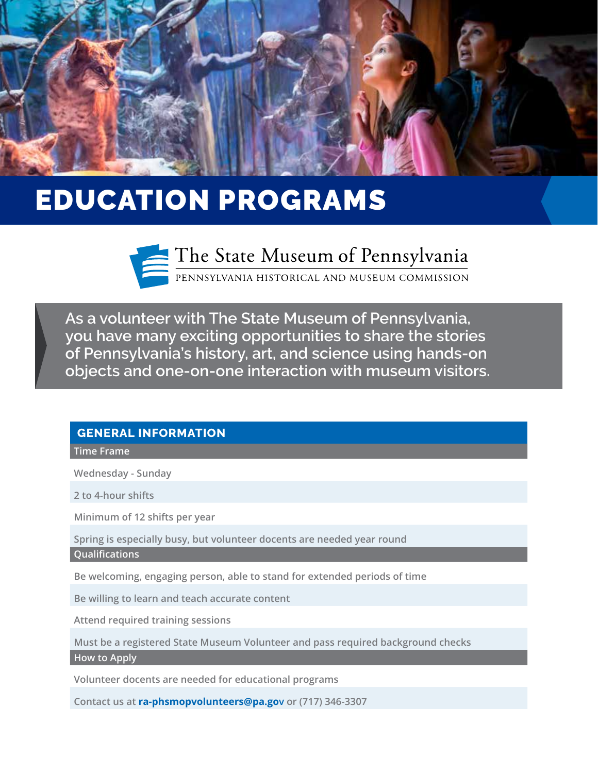

# EDUCATION PROGRAMS



The State Museum of Pennsylvania

PENNSYLVANIA HISTORICAL AND MUSEUM COMMISSION

**As a volunteer with The State Museum of Pennsylvania, you have many exciting opportunities to share the stories of Pennsylvania's history, art, and science using hands-on objects and one-on-one interaction with museum visitors.**

### **GENERAL INFORMATION**

### **Time Frame**

**Wednesday - Sunday** 

**2 to 4-hour shifts** 

**Minimum of 12 shifts per year**

**Spring is especially busy, but volunteer docents are needed year round** 

**Qualifications**

**Be welcoming, engaging person, able to stand for extended periods of time**

**Be willing to learn and teach accurate content** 

**Attend required training sessions** 

**Must be a registered State Museum Volunteer and pass required background checks** 

**How to Apply**

**Volunteer docents are needed for educational programs**

**Contact us at ra-phsmopvolunteers@pa.gov or (717) 346-3307**